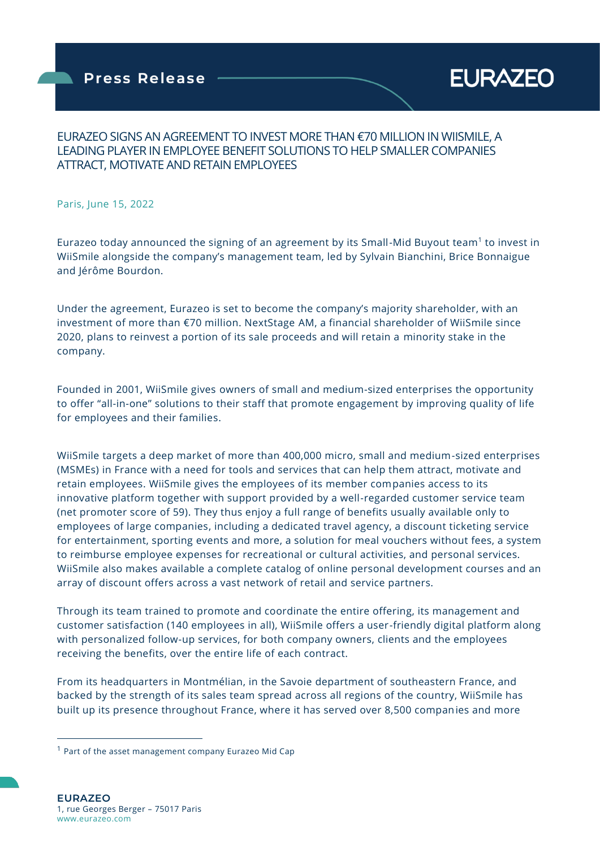

## EURAZEO SIGNS AN AGREEMENT TO INVEST MORE THAN €70 MILLION IN WIISMILE, A LEADING PLAYER IN EMPLOYEE BENEFIT SOLUTIONS TO HELP SMALLER COMPANIES ATTRACT, MOTIVATE AND RETAIN EMPLOYEES

Paris, June 15, 2022

Eurazeo today announced the signing of an agreement by its Small-Mid Buyout team<sup>1</sup> to invest in WiiSmile alongside the company's management team, led by Sylvain Bianchini, Brice Bonnaigue and Jérôme Bourdon.

Under the agreement, Eurazeo is set to become the company's majority shareholder, with an investment of more than €70 million. NextStage AM, a financial shareholder of WiiSmile since 2020, plans to reinvest a portion of its sale proceeds and will retain a minority stake in the company.

Founded in 2001, WiiSmile gives owners of small and medium-sized enterprises the opportunity to offer "all-in-one" solutions to their staff that promote engagement by improving quality of life for employees and their families.

WiiSmile targets a deep market of more than 400,000 micro, small and medium-sized enterprises (MSMEs) in France with a need for tools and services that can help them attract, motivate and retain employees. WiiSmile gives the employees of its member companies access to its innovative platform together with support provided by a well-regarded customer service team (net promoter score of 59). They thus enjoy a full range of benefits usually available only to employees of large companies, including a dedicated travel agency, a discount ticketing service for entertainment, sporting events and more, a solution for meal vouchers without fees, a system to reimburse employee expenses for recreational or cultural activities, and personal services. WiiSmile also makes available a complete catalog of online personal development courses and an array of discount offers across a vast network of retail and service partners.

Through its team trained to promote and coordinate the entire offering, its management and customer satisfaction (140 employees in all), WiiSmile offers a user-friendly digital platform along with personalized follow-up services, for both company owners, clients and the employees receiving the benefits, over the entire life of each contract.

From its headquarters in Montmélian, in the Savoie department of southeastern France, and backed by the strength of its sales team spread across all regions of the country, WiiSmile has built up its presence throughout France, where it has served over 8,500 companies and more

 $1$  Part of the asset management company Eurazeo Mid Cap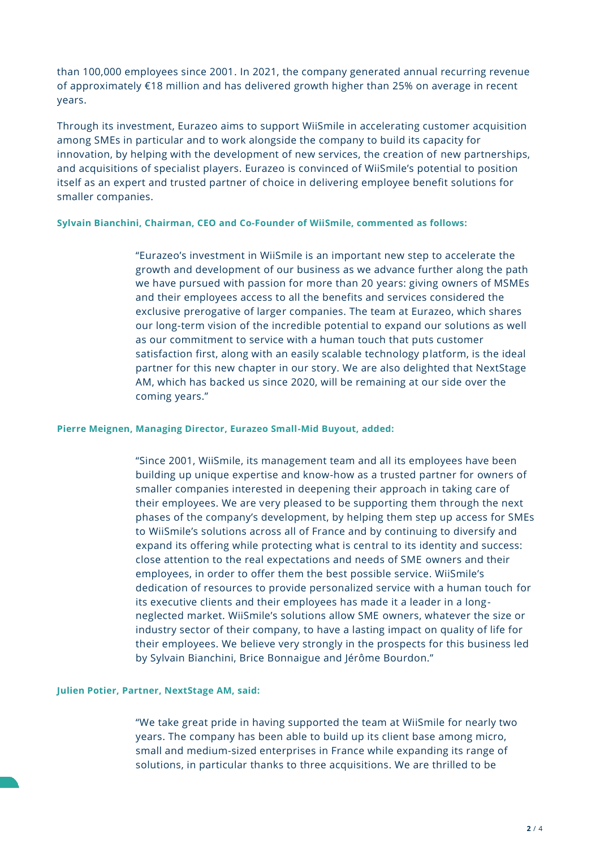than 100,000 employees since 2001. In 2021, the company generated annual recurring revenue of approximately €18 million and has delivered growth higher than 25% on average in recent years.

Through its investment, Eurazeo aims to support WiiSmile in accelerating customer acquisition among SMEs in particular and to work alongside the company to build its capacity for innovation, by helping with the development of new services, the creation of new partnerships, and acquisitions of specialist players. Eurazeo is convinced of WiiSmile's potential to position itself as an expert and trusted partner of choice in delivering employee benefit solutions for smaller companies.

### **Sylvain Bianchini, Chairman, CEO and Co-Founder of WiiSmile, commented as follows:**

"Eurazeo's investment in WiiSmile is an important new step to accelerate the growth and development of our business as we advance further along the path we have pursued with passion for more than 20 years: giving owners of MSMEs and their employees access to all the benefits and services considered the exclusive prerogative of larger companies. The team at Eurazeo, which shares our long-term vision of the incredible potential to expand our solutions as well as our commitment to service with a human touch that puts customer satisfaction first, along with an easily scalable technology platform, is the ideal partner for this new chapter in our story. We are also delighted that NextStage AM, which has backed us since 2020, will be remaining at our side over the coming years."

#### **Pierre Meignen, Managing Director, Eurazeo Small-Mid Buyout, added:**

"Since 2001, WiiSmile, its management team and all its employees have been building up unique expertise and know-how as a trusted partner for owners of smaller companies interested in deepening their approach in taking care of their employees. We are very pleased to be supporting them through the next phases of the company's development, by helping them step up access for SMEs to WiiSmile's solutions across all of France and by continuing to diversify and expand its offering while protecting what is central to its identity and success: close attention to the real expectations and needs of SME owners and their employees, in order to offer them the best possible service. WiiSmile's dedication of resources to provide personalized service with a human touch for its executive clients and their employees has made it a leader in a longneglected market. WiiSmile's solutions allow SME owners, whatever the size or industry sector of their company, to have a lasting impact on quality of life for their employees. We believe very strongly in the prospects for this business led by Sylvain Bianchini, Brice Bonnaigue and Jérôme Bourdon."

#### **Julien Potier, Partner, NextStage AM, said:**

"We take great pride in having supported the team at WiiSmile for nearly two years. The company has been able to build up its client base among micro, small and medium-sized enterprises in France while expanding its range of solutions, in particular thanks to three acquisitions. We are thrilled to be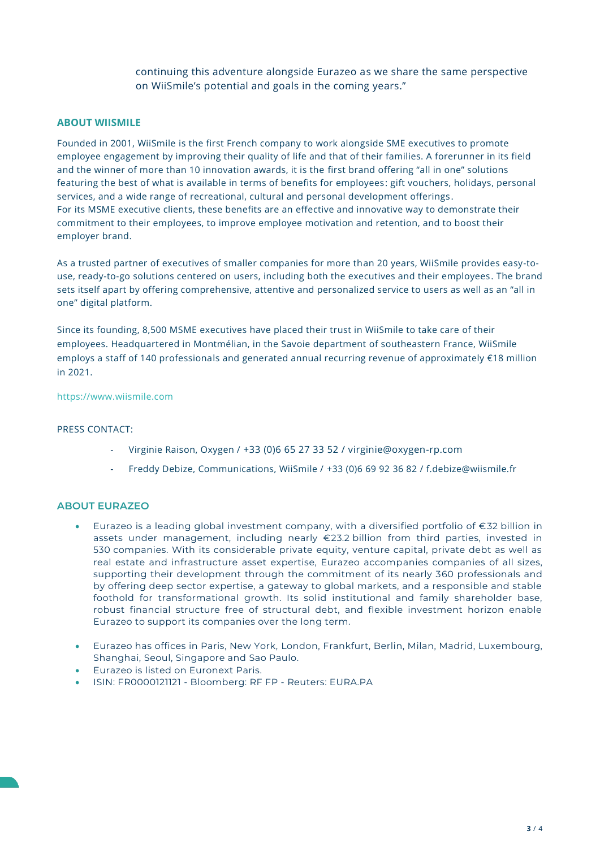continuing this adventure alongside Eurazeo as we share the same perspective on WiiSmile's potential and goals in the coming years."

### **ABOUT WIISMILE**

Founded in 2001, WiiSmile is the first French company to work alongside SME executives to promote employee engagement by improving their quality of life and that of their families. A forerunner in its field and the winner of more than 10 innovation awards, it is the first brand offering "all in one" solutions featuring the best of what is available in terms of benefits for employees: gift vouchers, holidays, personal services, and a wide range of recreational, cultural and personal development offerings . For its MSME executive clients, these benefits are an effective and innovative way to demonstrate their commitment to their employees, to improve employee motivation and retention, and to boost their employer brand.

As a trusted partner of executives of smaller companies for more than 20 years, WiiSmile provides easy-touse, ready-to-go solutions centered on users, including both the executives and their employees. The brand sets itself apart by offering comprehensive, attentive and personalized service to users as well as an "all in one" digital platform.

Since its founding, 8,500 MSME executives have placed their trust in WiiSmile to take care of their employees. Headquartered in Montmélian, in the Savoie department of southeastern France, WiiSmile employs a staff of 140 professionals and generated annual recurring revenue of approximately €18 million in 2021.

#### [https://www.wiismile.com](https://www.wiismile.com/)

#### PRESS CONTACT:

- Virginie Raison, Oxygen / +33 (0)6 65 27 33 52 / [virginie@oxygen-rp.com](mailto:virginie@oxygen-rp.com)
- Freddy Debize, Communications, WiiSmile / +33 (0)6 69 92 36 82 / f.debize@wiismile.fr

### **ABOUT EURAZEO**

- Eurazeo is a leading global investment company, with a diversified portfolio of €32 billion in assets under management, including nearly €23.2 billion from third parties, invested in 530 companies. With its considerable private equity, venture capital, private debt as well as real estate and infrastructure asset expertise, Eurazeo accompanies companies of all sizes, supporting their development through the commitment of its nearly 360 professionals and by offering deep sector expertise, a gateway to global markets, and a responsible and stable foothold for transformational growth. Its solid institutional and family shareholder base, robust financial structure free of structural debt, and flexible investment horizon enable Eurazeo to support its companies over the long term.
- Eurazeo has offices in Paris, New York, London, Frankfurt, Berlin, Milan, Madrid, Luxembourg, Shanghai, Seoul, Singapore and Sao Paulo.
- Eurazeo is listed on Euronext Paris.
- ISIN: FR0000121121 Bloomberg: RF FP Reuters: EURA.PA